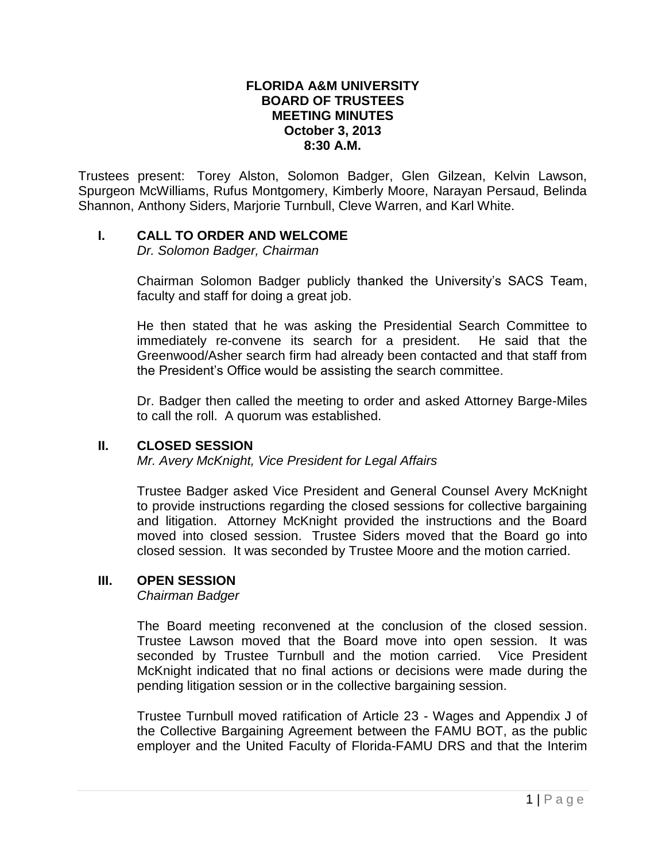#### **FLORIDA A&M UNIVERSITY BOARD OF TRUSTEES MEETING MINUTES October 3, 2013 8:30 A.M.**

Trustees present: Torey Alston, Solomon Badger, Glen Gilzean, Kelvin Lawson, Spurgeon McWilliams, Rufus Montgomery, Kimberly Moore, Narayan Persaud, Belinda Shannon, Anthony Siders, Marjorie Turnbull, Cleve Warren, and Karl White.

### **I. CALL TO ORDER AND WELCOME**

*Dr. Solomon Badger, Chairman*

Chairman Solomon Badger publicly thanked the University's SACS Team, faculty and staff for doing a great job.

He then stated that he was asking the Presidential Search Committee to immediately re-convene its search for a president. He said that the Greenwood/Asher search firm had already been contacted and that staff from the President's Office would be assisting the search committee.

Dr. Badger then called the meeting to order and asked Attorney Barge-Miles to call the roll. A quorum was established.

### **II. CLOSED SESSION**

*Mr. Avery McKnight, Vice President for Legal Affairs*

Trustee Badger asked Vice President and General Counsel Avery McKnight to provide instructions regarding the closed sessions for collective bargaining and litigation. Attorney McKnight provided the instructions and the Board moved into closed session. Trustee Siders moved that the Board go into closed session. It was seconded by Trustee Moore and the motion carried.

### **III. OPEN SESSION**

*Chairman Badger*

The Board meeting reconvened at the conclusion of the closed session. Trustee Lawson moved that the Board move into open session. It was seconded by Trustee Turnbull and the motion carried. Vice President McKnight indicated that no final actions or decisions were made during the pending litigation session or in the collective bargaining session.

Trustee Turnbull moved ratification of Article 23 - Wages and Appendix J of the Collective Bargaining Agreement between the FAMU BOT, as the public employer and the United Faculty of Florida-FAMU DRS and that the Interim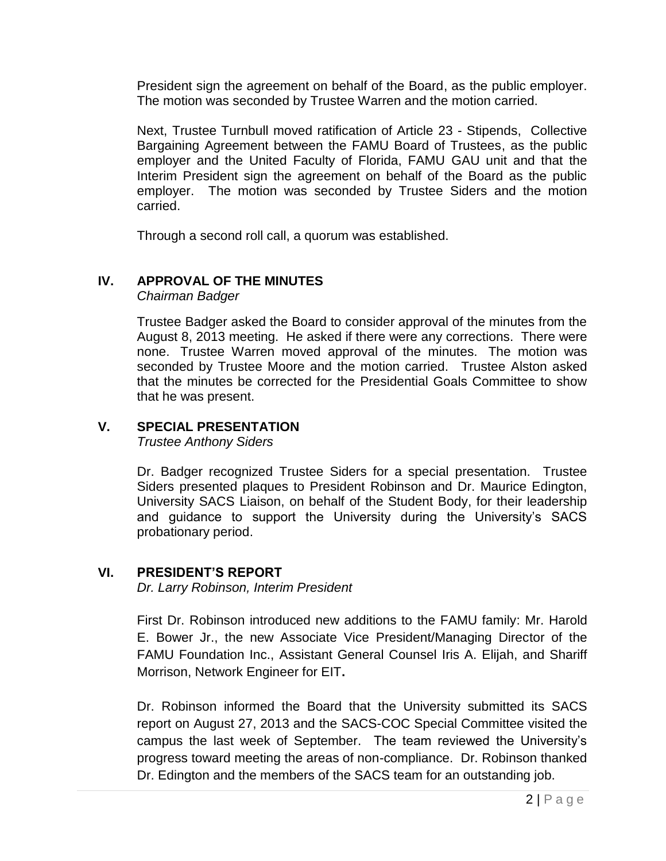President sign the agreement on behalf of the Board, as the public employer. The motion was seconded by Trustee Warren and the motion carried.

Next, Trustee Turnbull moved ratification of Article 23 - Stipends, Collective Bargaining Agreement between the FAMU Board of Trustees, as the public employer and the United Faculty of Florida, FAMU GAU unit and that the Interim President sign the agreement on behalf of the Board as the public employer. The motion was seconded by Trustee Siders and the motion carried.

Through a second roll call, a quorum was established.

## **IV. APPROVAL OF THE MINUTES**

*Chairman Badger*

Trustee Badger asked the Board to consider approval of the minutes from the August 8, 2013 meeting. He asked if there were any corrections. There were none. Trustee Warren moved approval of the minutes. The motion was seconded by Trustee Moore and the motion carried. Trustee Alston asked that the minutes be corrected for the Presidential Goals Committee to show that he was present.

## **V. SPECIAL PRESENTATION**

*Trustee Anthony Siders*

Dr. Badger recognized Trustee Siders for a special presentation. Trustee Siders presented plaques to President Robinson and Dr. Maurice Edington, University SACS Liaison, on behalf of the Student Body, for their leadership and guidance to support the University during the University's SACS probationary period.

### **VI. PRESIDENT'S REPORT**

*Dr. Larry Robinson, Interim President*

First Dr. Robinson introduced new additions to the FAMU family: Mr. Harold E. Bower Jr., the new Associate Vice President/Managing Director of the FAMU Foundation Inc., Assistant General Counsel Iris A. Elijah, and Shariff Morrison, Network Engineer for EIT**.** 

Dr. Robinson informed the Board that the University submitted its SACS report on August 27, 2013 and the SACS-COC Special Committee visited the campus the last week of September. The team reviewed the University's progress toward meeting the areas of non-compliance. Dr. Robinson thanked Dr. Edington and the members of the SACS team for an outstanding job.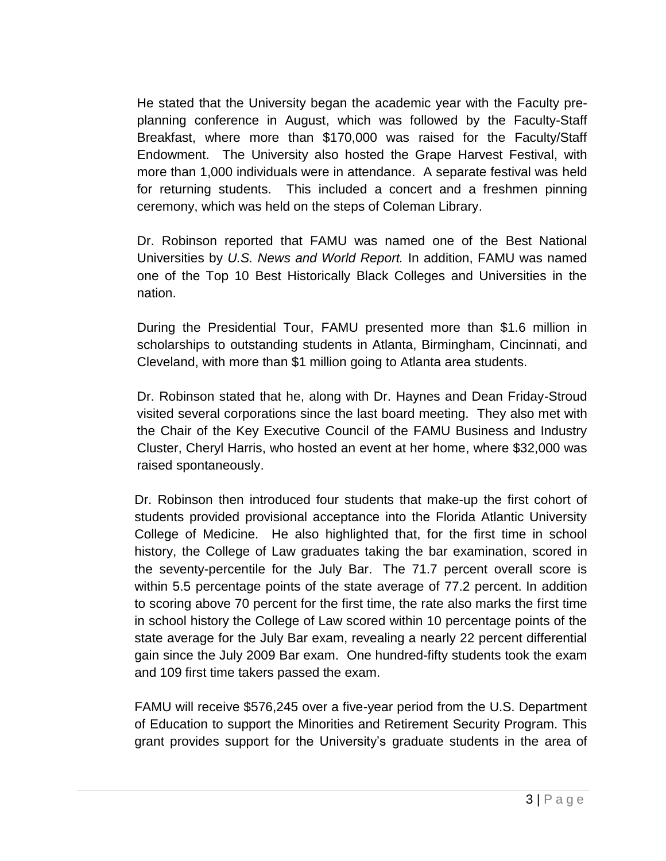He stated that the University began the academic year with the Faculty preplanning conference in August, which was followed by the Faculty-Staff Breakfast, where more than \$170,000 was raised for the Faculty/Staff Endowment. The University also hosted the Grape Harvest Festival, with more than 1,000 individuals were in attendance. A separate festival was held for returning students. This included a concert and a freshmen pinning ceremony, which was held on the steps of Coleman Library.

Dr. Robinson reported that FAMU was named one of the Best National Universities by *U.S. News and World Report.* In addition, FAMU was named one of the Top 10 Best Historically Black Colleges and Universities in the nation.

During the Presidential Tour, FAMU presented more than \$1.6 million in scholarships to outstanding students in Atlanta, Birmingham, Cincinnati, and Cleveland, with more than \$1 million going to Atlanta area students.

Dr. Robinson stated that he, along with Dr. Haynes and Dean Friday-Stroud visited several corporations since the last board meeting. They also met with the Chair of the Key Executive Council of the FAMU Business and Industry Cluster, Cheryl Harris, who hosted an event at her home, where \$32,000 was raised spontaneously.

Dr. Robinson then introduced four students that make-up the first cohort of students provided provisional acceptance into the Florida Atlantic University College of Medicine. He also highlighted that, for the first time in school history, the College of Law graduates taking the bar examination, scored in the seventy-percentile for the July Bar. The 71.7 percent overall score is within 5.5 percentage points of the state average of 77.2 percent. In addition to scoring above 70 percent for the first time, the rate also marks the first time in school history the College of Law scored within 10 percentage points of the state average for the July Bar exam, revealing a nearly 22 percent differential gain since the July 2009 Bar exam. One hundred-fifty students took the exam and 109 first time takers passed the exam.

FAMU will receive \$576,245 over a five-year period from the U.S. Department of Education to support the Minorities and Retirement Security Program. This grant provides support for the University's graduate students in the area of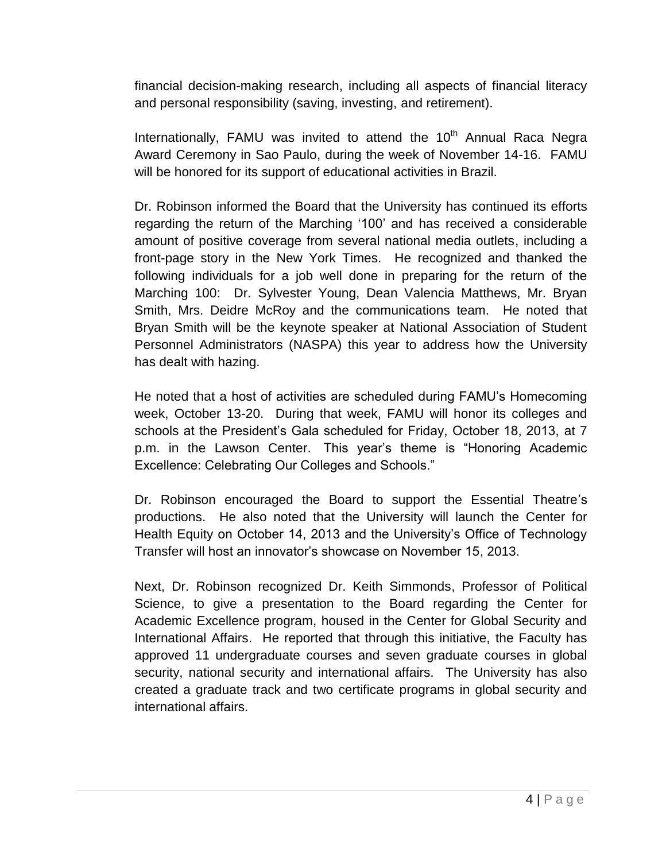financial decision-making research, including all aspects of financial literacy and personal responsibility (saving, investing, and retirement).

Internationally, FAMU was invited to attend the 10<sup>th</sup> Annual Raca Negra Award Ceremony in Sao Paulo, during the week of November 14-16. FAMU will be honored for its support of educational activities in Brazil.

Dr. Robinson informed the Board that the University has continued its efforts regarding the return of the Marching '100' and has received a considerable amount of positive coverage from several national media outlets, including a front-page story in the New York Times. He recognized and thanked the following individuals for a job well done in preparing for the return of the Marching 100: Dr. Sylvester Young, Dean Valencia Matthews, Mr. Bryan Smith, Mrs. Deidre McRoy and the communications team. He noted that Bryan Smith will be the keynote speaker at National Association of Student Personnel Administrators (NASPA) this year to address how the University has dealt with hazing.

He noted that a host of activities are scheduled during FAMU's Homecoming week, October 13-20. During that week, FAMU will honor its colleges and schools at the President's Gala scheduled for Friday, October 18, 2013, at 7 p.m. in the Lawson Center. This year's theme is "Honoring Academic Excellence: Celebrating Our Colleges and Schools."

Dr. Robinson encouraged the Board to support the Essential Theatre's productions. He also noted that the University will launch the Center for Health Equity on October 14, 2013 and the University's Office of Technology Transfer will host an innovator's showcase on November 15, 2013.

Next, Dr. Robinson recognized Dr. Keith Simmonds, Professor of Political Science, to give a presentation to the Board regarding the Center for Academic Excellence program, housed in the Center for Global Security and International Affairs. He reported that through this initiative, the Faculty has approved 11 undergraduate courses and seven graduate courses in global security, national security and international affairs. The University has also created a graduate track and two certificate programs in global security and international affairs.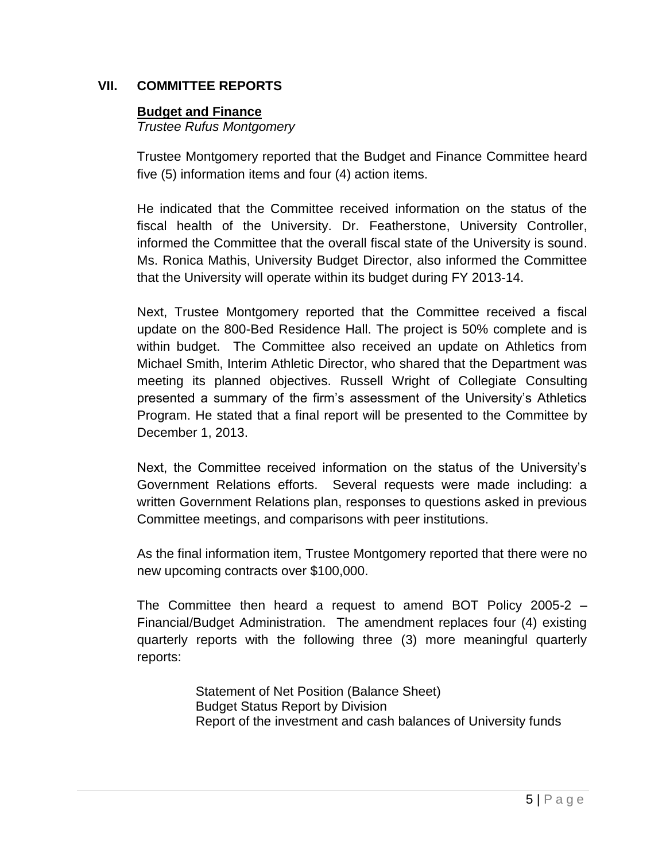## **VII. COMMITTEE REPORTS**

### **Budget and Finance**

*Trustee Rufus Montgomery*

Trustee Montgomery reported that the Budget and Finance Committee heard five (5) information items and four (4) action items.

He indicated that the Committee received information on the status of the fiscal health of the University. Dr. Featherstone, University Controller, informed the Committee that the overall fiscal state of the University is sound. Ms. Ronica Mathis, University Budget Director, also informed the Committee that the University will operate within its budget during FY 2013-14.

Next, Trustee Montgomery reported that the Committee received a fiscal update on the 800-Bed Residence Hall. The project is 50% complete and is within budget. The Committee also received an update on Athletics from Michael Smith, Interim Athletic Director, who shared that the Department was meeting its planned objectives. Russell Wright of Collegiate Consulting presented a summary of the firm's assessment of the University's Athletics Program. He stated that a final report will be presented to the Committee by December 1, 2013.

Next, the Committee received information on the status of the University's Government Relations efforts. Several requests were made including: a written Government Relations plan, responses to questions asked in previous Committee meetings, and comparisons with peer institutions.

As the final information item, Trustee Montgomery reported that there were no new upcoming contracts over \$100,000.

The Committee then heard a request to amend BOT Policy 2005-2 – Financial/Budget Administration. The amendment replaces four (4) existing quarterly reports with the following three (3) more meaningful quarterly reports:

> Statement of Net Position (Balance Sheet) Budget Status Report by Division Report of the investment and cash balances of University funds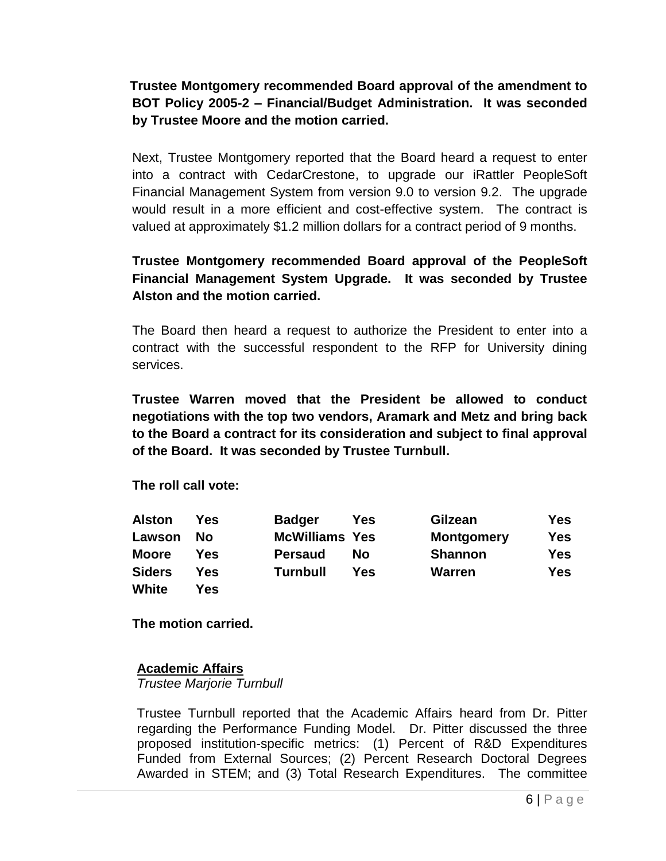# **Trustee Montgomery recommended Board approval of the amendment to BOT Policy 2005-2 – Financial/Budget Administration. It was seconded by Trustee Moore and the motion carried.**

Next, Trustee Montgomery reported that the Board heard a request to enter into a contract with CedarCrestone, to upgrade our iRattler PeopleSoft Financial Management System from version 9.0 to version 9.2. The upgrade would result in a more efficient and cost-effective system. The contract is valued at approximately \$1.2 million dollars for a contract period of 9 months.

## **Trustee Montgomery recommended Board approval of the PeopleSoft Financial Management System Upgrade. It was seconded by Trustee Alston and the motion carried.**

The Board then heard a request to authorize the President to enter into a contract with the successful respondent to the RFP for University dining services.

**Trustee Warren moved that the President be allowed to conduct negotiations with the top two vendors, Aramark and Metz and bring back to the Board a contract for its consideration and subject to final approval of the Board. It was seconded by Trustee Turnbull.** 

**The roll call vote:**

| <b>Alston</b> | Yes | <b>Badger</b>         | Yes | Gilzean           | Yes        |
|---------------|-----|-----------------------|-----|-------------------|------------|
| Lawson        | Nο  | <b>McWilliams Yes</b> |     | <b>Montgomery</b> | <b>Yes</b> |
| <b>Moore</b>  | Yes | <b>Persaud</b>        | No  | <b>Shannon</b>    | Yes        |
| <b>Siders</b> | Yes | <b>Turnbull</b>       | Yes | Warren            | Yes        |
| White         | Yes |                       |     |                   |            |

**The motion carried.**

## **Academic Affairs**

*Trustee Marjorie Turnbull*

Trustee Turnbull reported that the Academic Affairs heard from Dr. Pitter regarding the Performance Funding Model. Dr. Pitter discussed the three proposed institution-specific metrics: (1) Percent of R&D Expenditures Funded from External Sources; (2) Percent Research Doctoral Degrees Awarded in STEM; and (3) Total Research Expenditures. The committee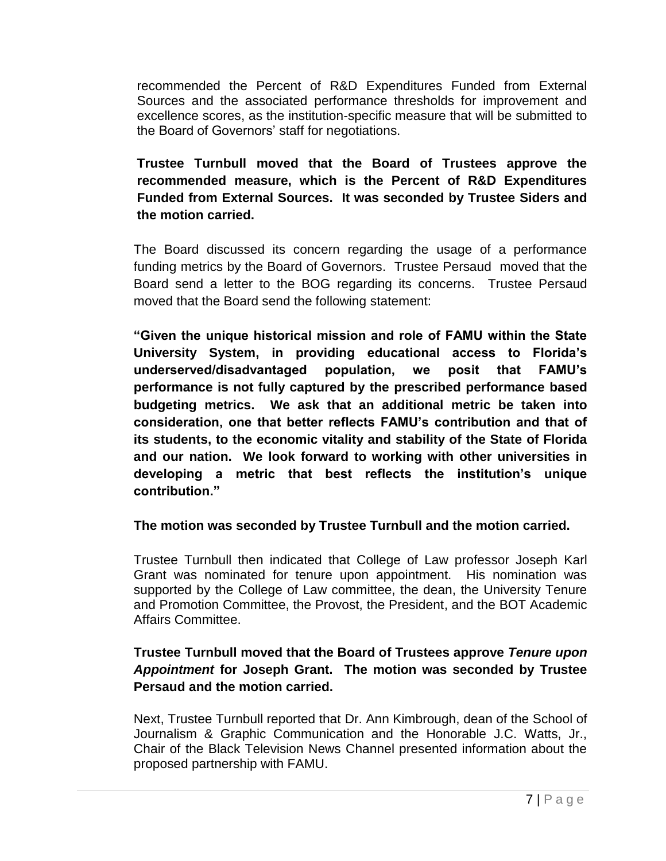recommended the Percent of R&D Expenditures Funded from External Sources and the associated performance thresholds for improvement and excellence scores, as the institution-specific measure that will be submitted to the Board of Governors' staff for negotiations.

**Trustee Turnbull moved that the Board of Trustees approve the recommended measure, which is the Percent of R&D Expenditures Funded from External Sources. It was seconded by Trustee Siders and the motion carried.** 

The Board discussed its concern regarding the usage of a performance funding metrics by the Board of Governors. Trustee Persaud moved that the Board send a letter to the BOG regarding its concerns. Trustee Persaud moved that the Board send the following statement:

**"Given the unique historical mission and role of FAMU within the State University System, in providing educational access to Florida's underserved/disadvantaged population, we posit that FAMU's performance is not fully captured by the prescribed performance based budgeting metrics. We ask that an additional metric be taken into consideration, one that better reflects FAMU's contribution and that of its students, to the economic vitality and stability of the State of Florida and our nation. We look forward to working with other universities in developing a metric that best reflects the institution's unique contribution."**

## **The motion was seconded by Trustee Turnbull and the motion carried.**

Trustee Turnbull then indicated that College of Law professor Joseph Karl Grant was nominated for tenure upon appointment. His nomination was supported by the College of Law committee, the dean, the University Tenure and Promotion Committee, the Provost, the President, and the BOT Academic Affairs Committee.

## **Trustee Turnbull moved that the Board of Trustees approve** *Tenure upon Appointment* **for Joseph Grant. The motion was seconded by Trustee Persaud and the motion carried.**

Next, Trustee Turnbull reported that Dr. Ann Kimbrough, dean of the School of Journalism & Graphic Communication and the Honorable J.C. Watts, Jr., Chair of the Black Television News Channel presented information about the proposed partnership with FAMU.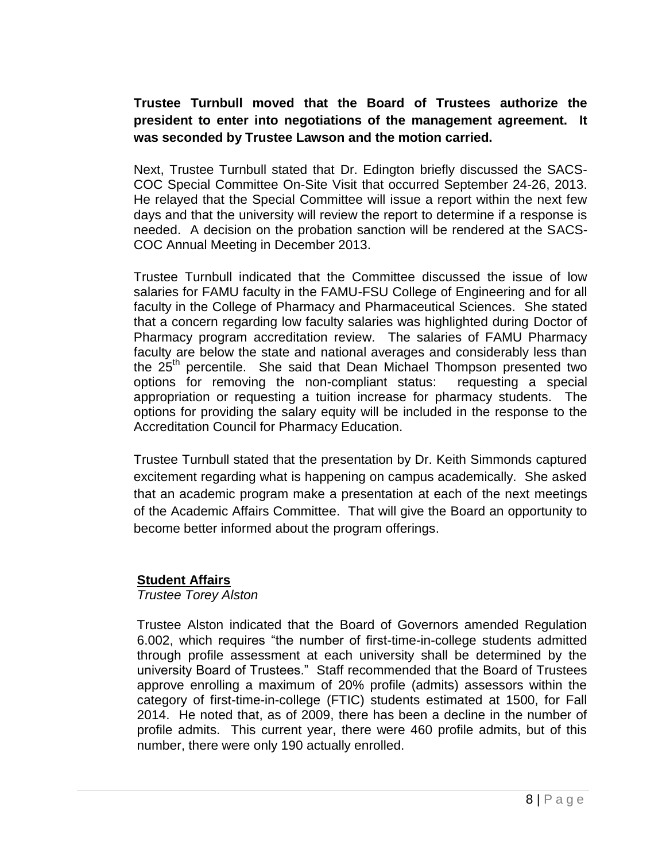# **Trustee Turnbull moved that the Board of Trustees authorize the president to enter into negotiations of the management agreement. It was seconded by Trustee Lawson and the motion carried.**

Next, Trustee Turnbull stated that Dr. Edington briefly discussed the SACS-COC Special Committee On-Site Visit that occurred September 24-26, 2013. He relayed that the Special Committee will issue a report within the next few days and that the university will review the report to determine if a response is needed. A decision on the probation sanction will be rendered at the SACS-COC Annual Meeting in December 2013.

Trustee Turnbull indicated that the Committee discussed the issue of low salaries for FAMU faculty in the FAMU-FSU College of Engineering and for all faculty in the College of Pharmacy and Pharmaceutical Sciences. She stated that a concern regarding low faculty salaries was highlighted during Doctor of Pharmacy program accreditation review. The salaries of FAMU Pharmacy faculty are below the state and national averages and considerably less than the 25<sup>th</sup> percentile. She said that Dean Michael Thompson presented two options for removing the non-compliant status: requesting a special appropriation or requesting a tuition increase for pharmacy students. The options for providing the salary equity will be included in the response to the Accreditation Council for Pharmacy Education.

Trustee Turnbull stated that the presentation by Dr. Keith Simmonds captured excitement regarding what is happening on campus academically. She asked that an academic program make a presentation at each of the next meetings of the Academic Affairs Committee. That will give the Board an opportunity to become better informed about the program offerings.

### **Student Affairs**

#### *Trustee Torey Alston*

Trustee Alston indicated that the Board of Governors amended Regulation 6.002, which requires "the number of first-time-in-college students admitted through profile assessment at each university shall be determined by the university Board of Trustees." Staff recommended that the Board of Trustees approve enrolling a maximum of 20% profile (admits) assessors within the category of first-time-in-college (FTIC) students estimated at 1500, for Fall 2014. He noted that, as of 2009, there has been a decline in the number of profile admits. This current year, there were 460 profile admits, but of this number, there were only 190 actually enrolled.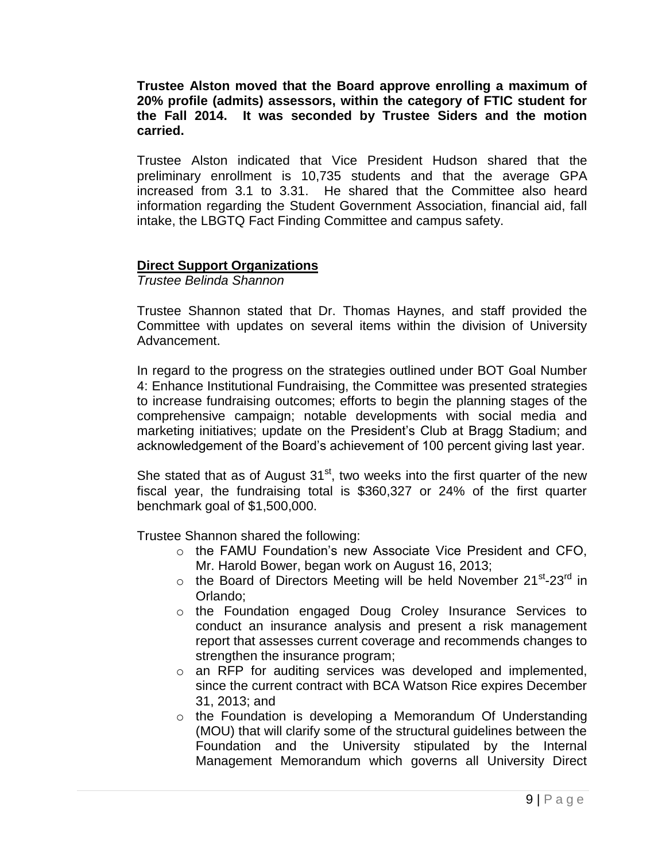**Trustee Alston moved that the Board approve enrolling a maximum of 20% profile (admits) assessors, within the category of FTIC student for the Fall 2014. It was seconded by Trustee Siders and the motion carried.**

Trustee Alston indicated that Vice President Hudson shared that the preliminary enrollment is 10,735 students and that the average GPA increased from 3.1 to 3.31. He shared that the Committee also heard information regarding the Student Government Association, financial aid, fall intake, the LBGTQ Fact Finding Committee and campus safety.

### **Direct Support Organizations**

*Trustee Belinda Shannon*

Trustee Shannon stated that Dr. Thomas Haynes, and staff provided the Committee with updates on several items within the division of University Advancement.

In regard to the progress on the strategies outlined under BOT Goal Number 4: Enhance Institutional Fundraising, the Committee was presented strategies to increase fundraising outcomes; efforts to begin the planning stages of the comprehensive campaign; notable developments with social media and marketing initiatives; update on the President's Club at Bragg Stadium; and acknowledgement of the Board's achievement of 100 percent giving last year.

She stated that as of August  $31<sup>st</sup>$ , two weeks into the first quarter of the new fiscal year, the fundraising total is \$360,327 or 24% of the first quarter benchmark goal of \$1,500,000.

Trustee Shannon shared the following:

- o the FAMU Foundation's new Associate Vice President and CFO, Mr. Harold Bower, began work on August 16, 2013;
- $\circ$  the Board of Directors Meeting will be held November 21<sup>st</sup>-23<sup>rd</sup> in Orlando;
- o the Foundation engaged Doug Croley Insurance Services to conduct an insurance analysis and present a risk management report that assesses current coverage and recommends changes to strengthen the insurance program;
- o an RFP for auditing services was developed and implemented, since the current contract with BCA Watson Rice expires December 31, 2013; and
- o the Foundation is developing a Memorandum Of Understanding (MOU) that will clarify some of the structural guidelines between the Foundation and the University stipulated by the Internal Management Memorandum which governs all University Direct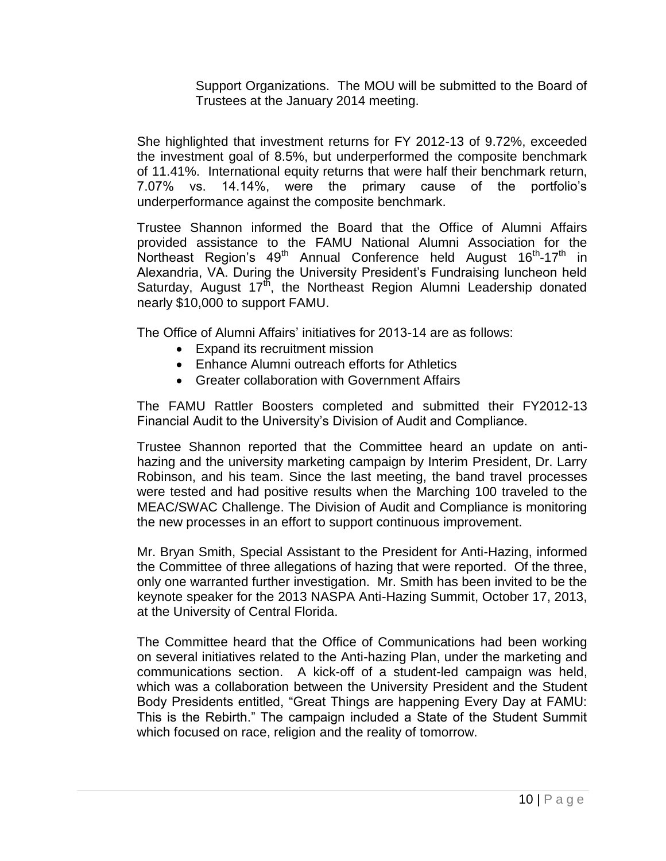Support Organizations. The MOU will be submitted to the Board of Trustees at the January 2014 meeting.

She highlighted that investment returns for FY 2012-13 of 9.72%, exceeded the investment goal of 8.5%, but underperformed the composite benchmark of 11.41%. International equity returns that were half their benchmark return, 7.07% vs. 14.14%, were the primary cause of the portfolio's underperformance against the composite benchmark.

Trustee Shannon informed the Board that the Office of Alumni Affairs provided assistance to the FAMU National Alumni Association for the .<br>Northeast Region's 49<sup>th</sup> Annual Conference held August 16<sup>th</sup>-17<sup>th</sup> in Alexandria, VA. During the University President's Fundraising luncheon held Saturday, August  $17<sup>th</sup>$ , the Northeast Region Alumni Leadership donated nearly \$10,000 to support FAMU.

The Office of Alumni Affairs' initiatives for 2013-14 are as follows:

- Expand its recruitment mission
- Enhance Alumni outreach efforts for Athletics
- Greater collaboration with Government Affairs

The FAMU Rattler Boosters completed and submitted their FY2012-13 Financial Audit to the University's Division of Audit and Compliance.

Trustee Shannon reported that the Committee heard an update on antihazing and the university marketing campaign by Interim President, Dr. Larry Robinson, and his team. Since the last meeting, the band travel processes were tested and had positive results when the Marching 100 traveled to the MEAC/SWAC Challenge. The Division of Audit and Compliance is monitoring the new processes in an effort to support continuous improvement.

Mr. Bryan Smith, Special Assistant to the President for Anti-Hazing, informed the Committee of three allegations of hazing that were reported. Of the three, only one warranted further investigation. Mr. Smith has been invited to be the keynote speaker for the 2013 NASPA Anti-Hazing Summit, October 17, 2013, at the University of Central Florida.

The Committee heard that the Office of Communications had been working on several initiatives related to the Anti-hazing Plan, under the marketing and communications section. A kick-off of a student-led campaign was held, which was a collaboration between the University President and the Student Body Presidents entitled, "Great Things are happening Every Day at FAMU: This is the Rebirth." The campaign included a State of the Student Summit which focused on race, religion and the reality of tomorrow.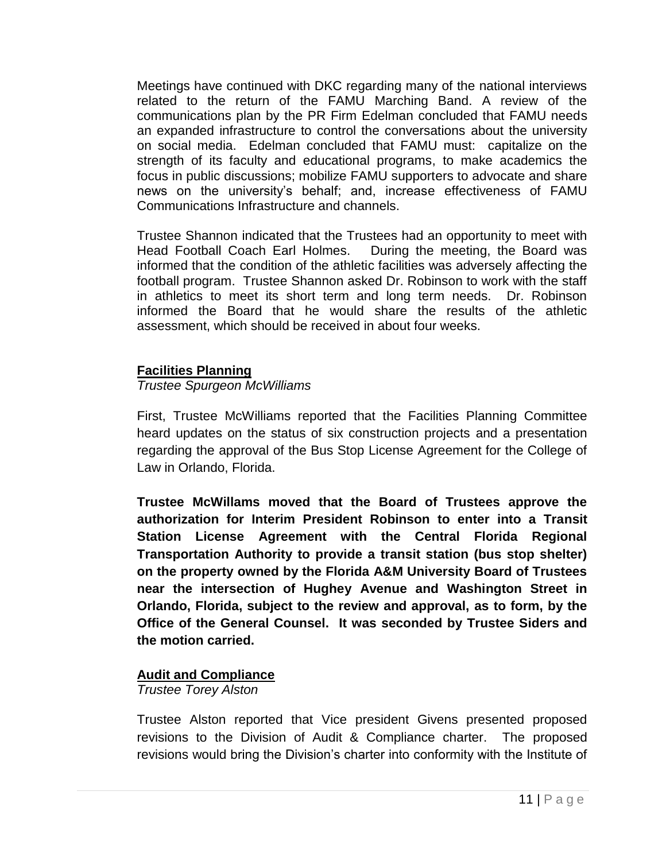Meetings have continued with DKC regarding many of the national interviews related to the return of the FAMU Marching Band. A review of the communications plan by the PR Firm Edelman concluded that FAMU needs an expanded infrastructure to control the conversations about the university on social media. Edelman concluded that FAMU must: capitalize on the strength of its faculty and educational programs, to make academics the focus in public discussions; mobilize FAMU supporters to advocate and share news on the university's behalf; and, increase effectiveness of FAMU Communications Infrastructure and channels.

Trustee Shannon indicated that the Trustees had an opportunity to meet with Head Football Coach Earl Holmes. During the meeting, the Board was informed that the condition of the athletic facilities was adversely affecting the football program. Trustee Shannon asked Dr. Robinson to work with the staff in athletics to meet its short term and long term needs. Dr. Robinson informed the Board that he would share the results of the athletic assessment, which should be received in about four weeks.

### **Facilities Planning**

### *Trustee Spurgeon McWilliams*

First, Trustee McWilliams reported that the Facilities Planning Committee heard updates on the status of six construction projects and a presentation regarding the approval of the Bus Stop License Agreement for the College of Law in Orlando, Florida.

**Trustee McWillams moved that the Board of Trustees approve the authorization for Interim President Robinson to enter into a Transit Station License Agreement with the Central Florida Regional Transportation Authority to provide a transit station (bus stop shelter) on the property owned by the Florida A&M University Board of Trustees near the intersection of Hughey Avenue and Washington Street in Orlando, Florida, subject to the review and approval, as to form, by the Office of the General Counsel. It was seconded by Trustee Siders and the motion carried.**

## **Audit and Compliance**

*Trustee Torey Alston*

Trustee Alston reported that Vice president Givens presented proposed revisions to the Division of Audit & Compliance charter. The proposed revisions would bring the Division's charter into conformity with the Institute of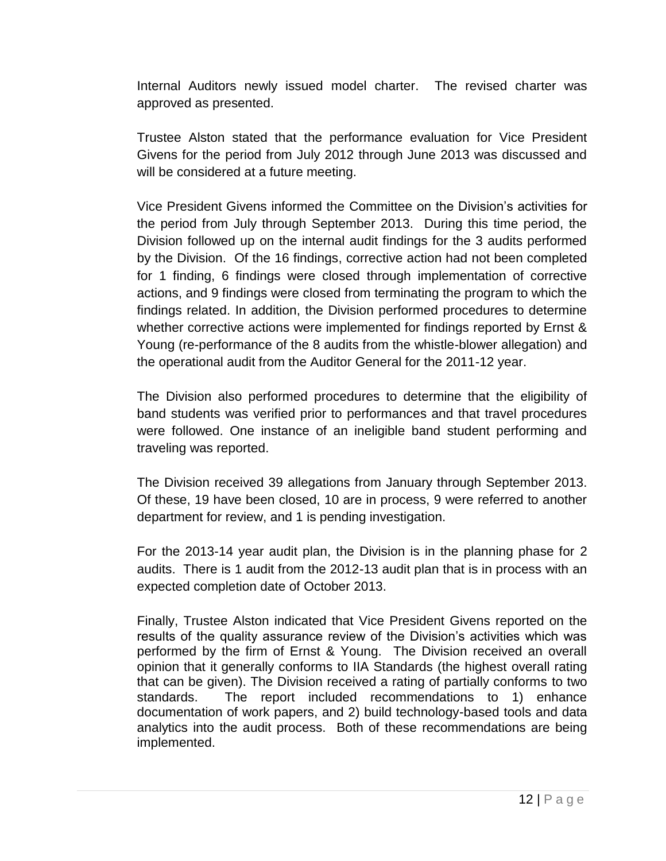Internal Auditors newly issued model charter. The revised charter was approved as presented.

Trustee Alston stated that the performance evaluation for Vice President Givens for the period from July 2012 through June 2013 was discussed and will be considered at a future meeting.

Vice President Givens informed the Committee on the Division's activities for the period from July through September 2013. During this time period, the Division followed up on the internal audit findings for the 3 audits performed by the Division. Of the 16 findings, corrective action had not been completed for 1 finding, 6 findings were closed through implementation of corrective actions, and 9 findings were closed from terminating the program to which the findings related. In addition, the Division performed procedures to determine whether corrective actions were implemented for findings reported by Ernst & Young (re-performance of the 8 audits from the whistle-blower allegation) and the operational audit from the Auditor General for the 2011-12 year.

The Division also performed procedures to determine that the eligibility of band students was verified prior to performances and that travel procedures were followed. One instance of an ineligible band student performing and traveling was reported.

The Division received 39 allegations from January through September 2013. Of these, 19 have been closed, 10 are in process, 9 were referred to another department for review, and 1 is pending investigation.

For the 2013-14 year audit plan, the Division is in the planning phase for 2 audits. There is 1 audit from the 2012-13 audit plan that is in process with an expected completion date of October 2013.

Finally, Trustee Alston indicated that Vice President Givens reported on the results of the quality assurance review of the Division's activities which was performed by the firm of Ernst & Young. The Division received an overall opinion that it generally conforms to IIA Standards (the highest overall rating that can be given). The Division received a rating of partially conforms to two standards. The report included recommendations to 1) enhance documentation of work papers, and 2) build technology-based tools and data analytics into the audit process. Both of these recommendations are being implemented.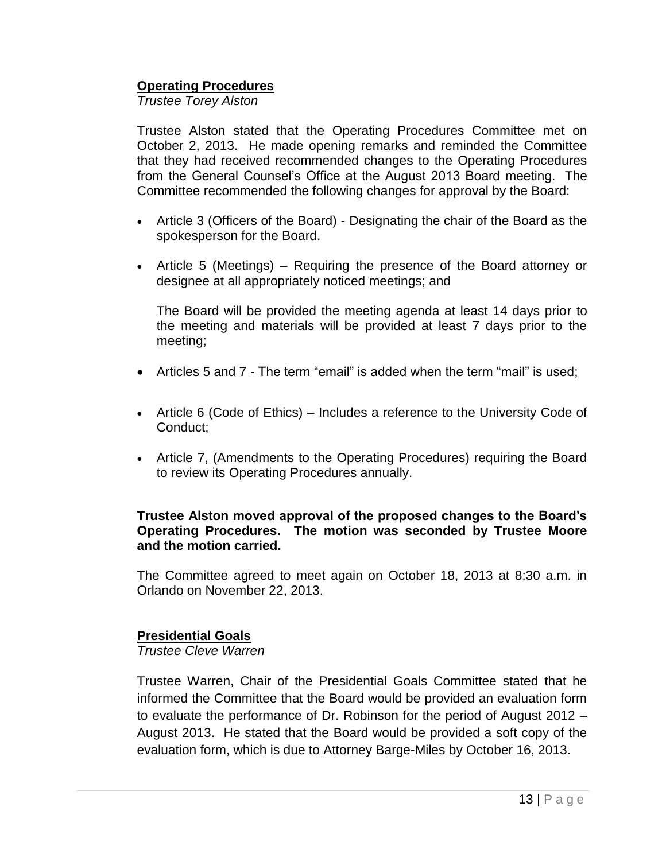#### **Operating Procedures**

*Trustee Torey Alston*

Trustee Alston stated that the Operating Procedures Committee met on October 2, 2013. He made opening remarks and reminded the Committee that they had received recommended changes to the Operating Procedures from the General Counsel's Office at the August 2013 Board meeting. The Committee recommended the following changes for approval by the Board:

- Article 3 (Officers of the Board) Designating the chair of the Board as the spokesperson for the Board.
- Article 5 (Meetings) Requiring the presence of the Board attorney or designee at all appropriately noticed meetings; and

The Board will be provided the meeting agenda at least 14 days prior to the meeting and materials will be provided at least 7 days prior to the meeting;

- Articles 5 and 7 The term "email" is added when the term "mail" is used;
- Article 6 (Code of Ethics) Includes a reference to the University Code of Conduct;
- Article 7, (Amendments to the Operating Procedures) requiring the Board to review its Operating Procedures annually.

#### **Trustee Alston moved approval of the proposed changes to the Board's Operating Procedures. The motion was seconded by Trustee Moore and the motion carried.**

The Committee agreed to meet again on October 18, 2013 at 8:30 a.m. in Orlando on November 22, 2013.

### **Presidential Goals**

*Trustee Cleve Warren*

Trustee Warren, Chair of the Presidential Goals Committee stated that he informed the Committee that the Board would be provided an evaluation form to evaluate the performance of Dr. Robinson for the period of August 2012 – August 2013. He stated that the Board would be provided a soft copy of the evaluation form, which is due to Attorney Barge-Miles by October 16, 2013.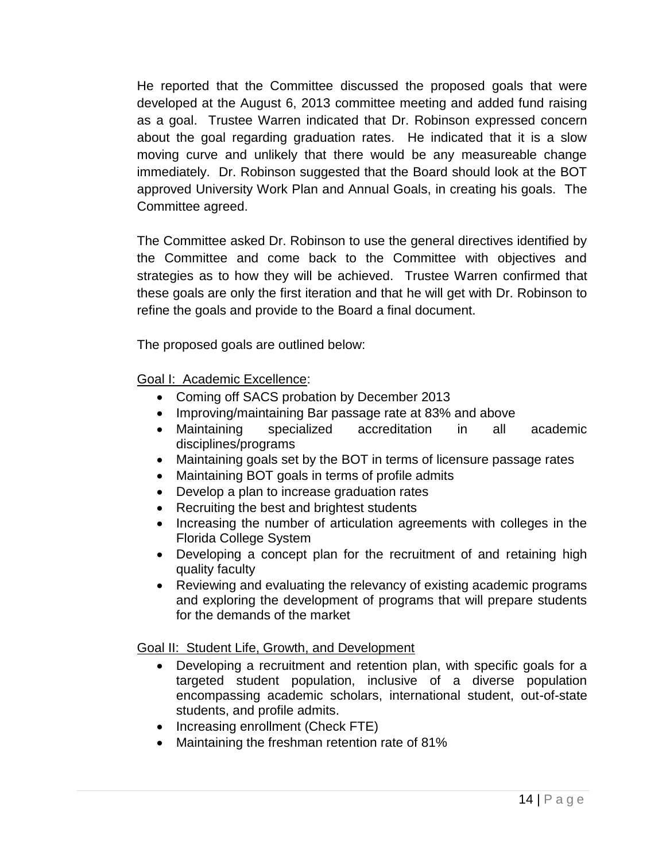He reported that the Committee discussed the proposed goals that were developed at the August 6, 2013 committee meeting and added fund raising as a goal. Trustee Warren indicated that Dr. Robinson expressed concern about the goal regarding graduation rates. He indicated that it is a slow moving curve and unlikely that there would be any measureable change immediately. Dr. Robinson suggested that the Board should look at the BOT approved University Work Plan and Annual Goals, in creating his goals. The Committee agreed.

The Committee asked Dr. Robinson to use the general directives identified by the Committee and come back to the Committee with objectives and strategies as to how they will be achieved. Trustee Warren confirmed that these goals are only the first iteration and that he will get with Dr. Robinson to refine the goals and provide to the Board a final document.

The proposed goals are outlined below:

Goal I: Academic Excellence:

- Coming off SACS probation by December 2013
- Improving/maintaining Bar passage rate at 83% and above
- Maintaining specialized accreditation in all academic disciplines/programs
- Maintaining goals set by the BOT in terms of licensure passage rates
- Maintaining BOT goals in terms of profile admits
- Develop a plan to increase graduation rates
- Recruiting the best and brightest students
- Increasing the number of articulation agreements with colleges in the Florida College System
- Developing a concept plan for the recruitment of and retaining high quality faculty
- Reviewing and evaluating the relevancy of existing academic programs and exploring the development of programs that will prepare students for the demands of the market

Goal II: Student Life, Growth, and Development

- Developing a recruitment and retention plan, with specific goals for a targeted student population, inclusive of a diverse population encompassing academic scholars, international student, out-of-state students, and profile admits.
- Increasing enrollment (Check FTE)
- Maintaining the freshman retention rate of 81%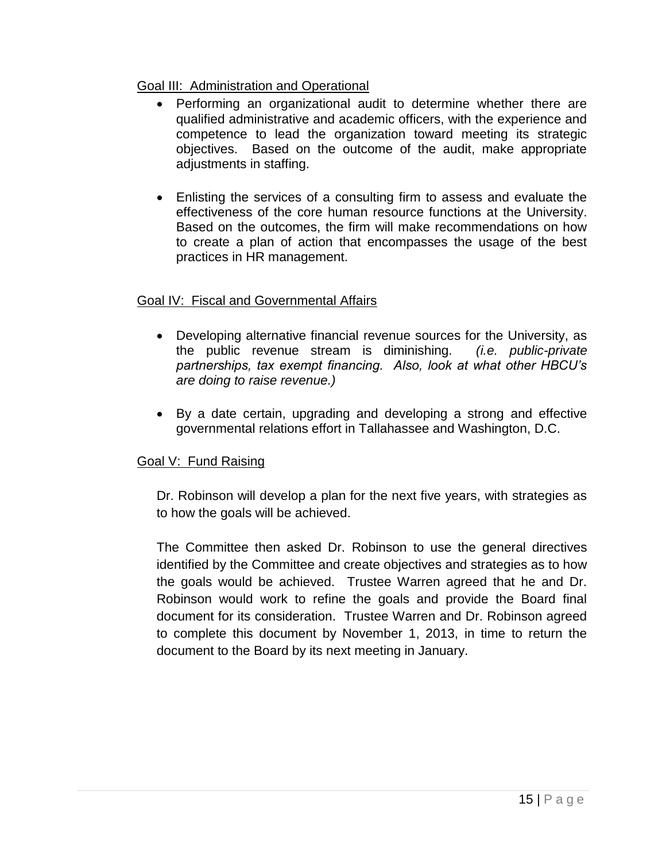### Goal III: Administration and Operational

- Performing an organizational audit to determine whether there are qualified administrative and academic officers, with the experience and competence to lead the organization toward meeting its strategic objectives. Based on the outcome of the audit, make appropriate adjustments in staffing.
- Enlisting the services of a consulting firm to assess and evaluate the effectiveness of the core human resource functions at the University. Based on the outcomes, the firm will make recommendations on how to create a plan of action that encompasses the usage of the best practices in HR management.

### Goal IV: Fiscal and Governmental Affairs

- Developing alternative financial revenue sources for the University, as the public revenue stream is diminishing. *(i.e. public-private partnerships, tax exempt financing. Also, look at what other HBCU's are doing to raise revenue.)*
- By a date certain, upgrading and developing a strong and effective governmental relations effort in Tallahassee and Washington, D.C.

## Goal V: Fund Raising

Dr. Robinson will develop a plan for the next five years, with strategies as to how the goals will be achieved.

The Committee then asked Dr. Robinson to use the general directives identified by the Committee and create objectives and strategies as to how the goals would be achieved. Trustee Warren agreed that he and Dr. Robinson would work to refine the goals and provide the Board final document for its consideration. Trustee Warren and Dr. Robinson agreed to complete this document by November 1, 2013, in time to return the document to the Board by its next meeting in January.